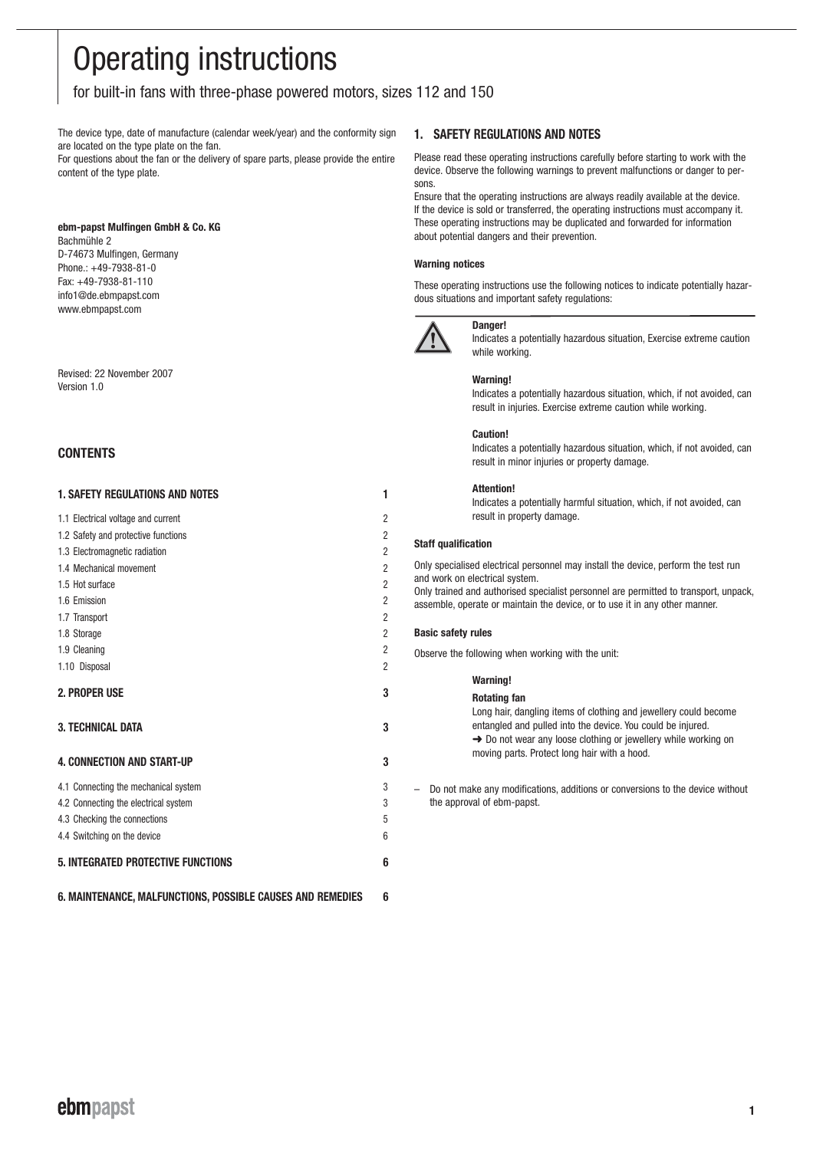# Operating instructions

for built-in fans with three-phase powered motors, sizes 112 and 150

The device type, date of manufacture (calendar week/year) and the conformity sign are located on the type plate on the fan.

For questions about the fan or the delivery of spare parts, please provide the entire content of the type plate.

# **ebm-papst Mulfingen GmbH & Co. KG**

Bachmühle 2 D-74673 Mulfingen, Germany Phone.: +49-7938-81-0 Fax: +49-7938-81-110 info1@de.ebmpapst.com www.ebmpapst.com

Revised: 22 November 2007 Version 1.0

# **CONTENTS**

| <b>1. SAFETY REGULATIONS AND NOTES</b>    | 1              |
|-------------------------------------------|----------------|
| 1.1 Electrical voltage and current        | $\overline{2}$ |
| 1.2 Safety and protective functions       | $\overline{2}$ |
| 1.3 Electromagnetic radiation             | $\overline{2}$ |
| 1.4 Mechanical movement                   | $\overline{2}$ |
| 1.5 Hot surface                           | $\overline{2}$ |
| 1.6 Emission                              | $\overline{2}$ |
| 1.7 Transport                             | 2              |
| 1.8 Storage                               | 2              |
| 1.9 Cleaning                              | 2              |
| 1.10 Disposal                             | 2              |
| 2. PROPER USE                             | 3              |
| <b>3. TECHNICAL DATA</b>                  | 3              |
| <b>4. CONNECTION AND START-UP</b>         | 3              |
| 4.1 Connecting the mechanical system      | 3              |
| 4.2 Connecting the electrical system      | 3              |
| 4.3 Checking the connections              | 5              |
| 4.4 Switching on the device               | 6              |
| <b>5. INTEGRATED PROTECTIVE FUNCTIONS</b> | 6              |

**6. MAINTENANCE, MALFUNCTIONS, POSSIBLE CAUSES AND REMEDIES 6**

# **1. SAFETY REGULATIONS AND NOTES**

Please read these operating instructions carefully before starting to work with the device. Observe the following warnings to prevent malfunctions or danger to persons.

Ensure that the operating instructions are always readily available at the device. If the device is sold or transferred, the operating instructions must accompany it. These operating instructions may be duplicated and forwarded for information about potential dangers and their prevention.

# **Warning notices**

These operating instructions use the following notices to indicate potentially hazardous situations and important safety regulations:



# **Danger!**

Indicates a potentially hazardous situation, Exercise extreme caution while working.

# **Warning!**

Indicates a potentially hazardous situation, which, if not avoided, can result in injuries. Exercise extreme caution while working.

#### **Caution!**

Indicates a potentially hazardous situation, which, if not avoided, can result in minor injuries or property damage.

# **Attention!**

Indicates a potentially harmful situation, which, if not avoided, can result in property damage.

# **Staff qualification**

Only specialised electrical personnel may install the device, perform the test run and work on electrical system. Only trained and authorised specialist personnel are permitted to transport, unpack, assemble, operate or maintain the device, or to use it in any other manner.

# **Basic safety rules**

Observe the following when working with the unit:

| Rotating fan<br>Long hair, dangling items of clothing and jewellery could become                                                                                                          |  |
|-------------------------------------------------------------------------------------------------------------------------------------------------------------------------------------------|--|
|                                                                                                                                                                                           |  |
| entangled and pulled into the device. You could be injured.<br>$\rightarrow$ Do not wear any loose clothing or jewellery while working on<br>moving parts. Protect long hair with a hood. |  |

– Do not make any modifications, additions or conversions to the device without the approval of ebm-papst.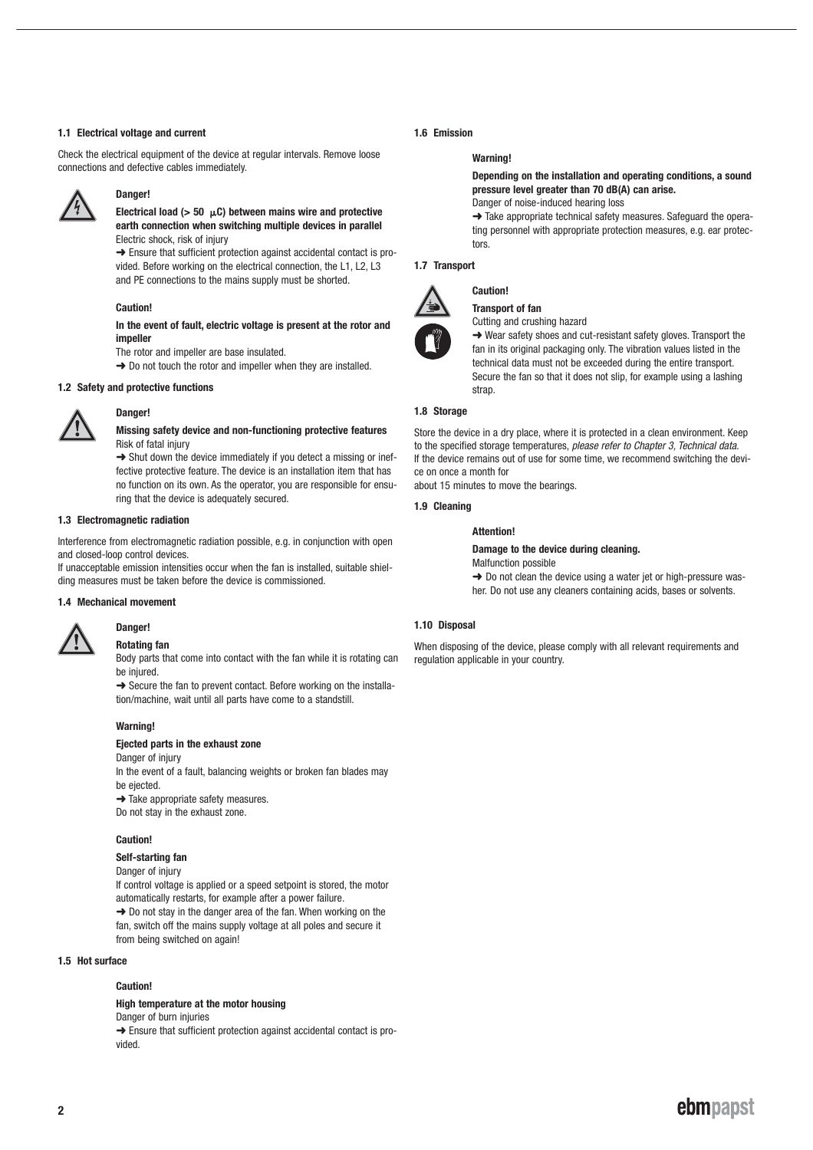#### **1.1 Electrical voltage and current**

Check the electrical equipment of the device at regular intervals. Remove loose connections and defective cables immediately.



# **Danger!**

**Electrical load (> 50** μ**C) between mains wire and protective earth connection when switching multiple devices in parallel** Electric shock, risk of injury

**→** Ensure that sufficient protection against accidental contact is provided. Before working on the electrical connection, the L1, L2, L3 and PE connections to the mains supply must be shorted.

#### **Caution!**

**In the event of fault, electric voltage is present at the rotor and impeller** 

The rotor and impeller are base insulated.

→ Do not touch the rotor and impeller when they are installed.

#### **1.2 Safety and protective functions**



# **Danger!**

#### **Missing safety device and non-functioning protective features** Risk of fatal injury

 $\rightarrow$  Shut down the device immediately if you detect a missing or ineffective protective feature. The device is an installation item that has no function on its own. As the operator, you are responsible for ensuring that the device is adequately secured.

# **1.3 Electromagnetic radiation**

Interference from electromagnetic radiation possible, e.g. in conjunction with open and closed-loop control devices.

If unacceptable emission intensities occur when the fan is installed, suitable shielding measures must be taken before the device is commissioned.

#### **1.4 Mechanical movement**



# **Danger! Rotating fan**

Body parts that come into contact with the fan while it is rotating can be injured.

→ Secure the fan to prevent contact. Before working on the installation/machine, wait until all parts have come to a standstill.

#### **Warning!**

# **Ejected parts in the exhaust zone**

Danger of injury In the event of a fault, balancing weights or broken fan blades may

be ejected.

 $\rightarrow$  Take appropriate safety measures.

Do not stay in the exhaust zone.

#### **Caution!**

**Self-starting fan**

Danger of injury

If control voltage is applied or a speed setpoint is stored, the motor automatically restarts, for example after a power failure.  $\rightarrow$  Do not stay in the danger area of the fan. When working on the fan, switch off the mains supply voltage at all poles and secure it from being switched on again!

#### **1.5 Hot surface**

#### **Caution!**

#### **High temperature at the motor housing**

Danger of burn injuries

→ Ensure that sufficient protection against accidental contact is provided.

# **1.6 Emission**

## **Warning!**

**Depending on the installation and operating conditions, a sound pressure level greater than 70 dB(A) can arise.**  Danger of noise-induced hearing loss

➜ Take appropriate technical safety measures. Safeguard the operating personnel with appropriate protection measures, e.g. ear protectors.

#### **1.7 Transport**



# **Caution!**

**Transport of fan** Cutting and crushing hazard

➜ Wear safety shoes and cut-resistant safety gloves. Transport the

fan in its original packaging only. The vibration values listed in the technical data must not be exceeded during the entire transport. Secure the fan so that it does not slip, for example using a lashing strap.

# **1.8 Storage**

Store the device in a dry place, where it is protected in a clean environment. Keep to the specified storage temperatures, please refer to Chapter 3. Technical data. If the device remains out of use for some time, we recommend switching the device on once a month for

about 15 minutes to move the bearings.

#### **1.9 Cleaning**

#### **Attention!**

#### **Damage to the device during cleaning.**

Malfunction possible

**→** Do not clean the device using a water jet or high-pressure washer. Do not use any cleaners containing acids, bases or solvents.

# **1.10 Disposal**

When disposing of the device, please comply with all relevant requirements and regulation applicable in your country.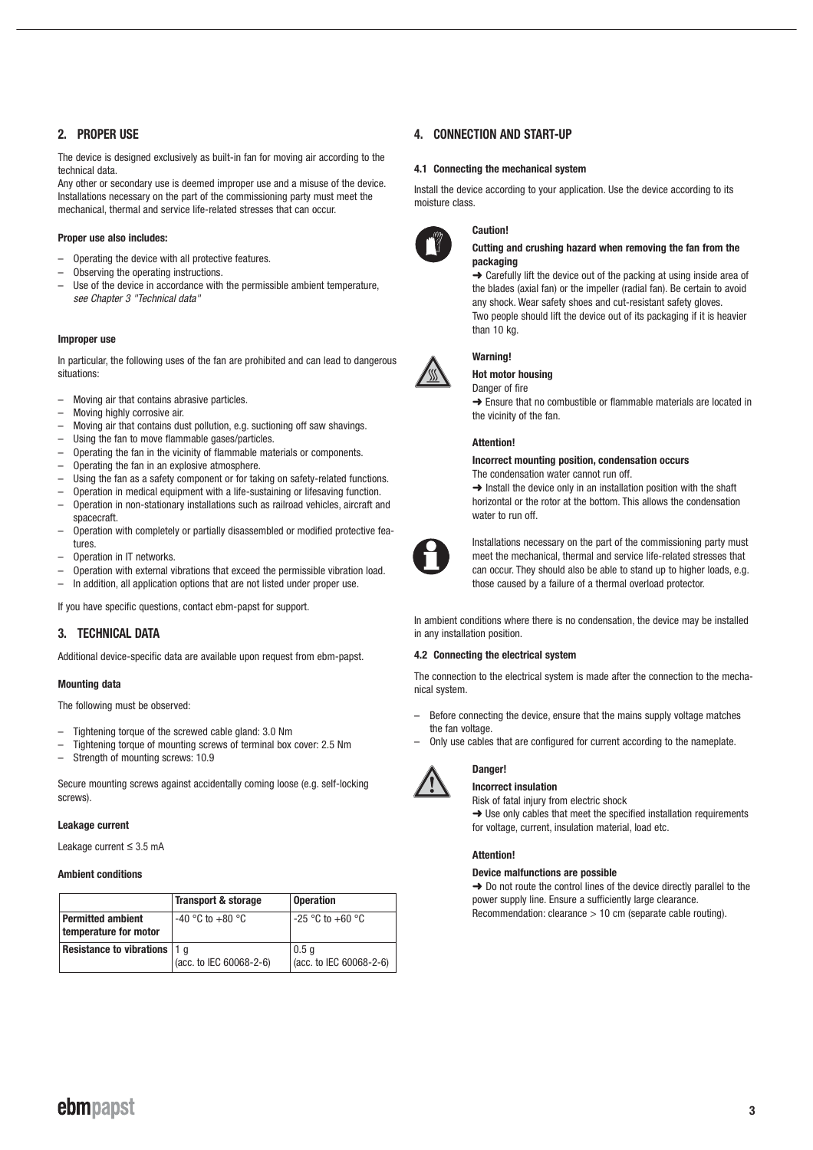# **2. PROPER USE**

The device is designed exclusively as built-in fan for moving air according to the technical data.

Any other or secondary use is deemed improper use and a misuse of the device. Installations necessary on the part of the commissioning party must meet the mechanical, thermal and service life-related stresses that can occur.

# **Proper use also includes:**

- Operating the device with all protective features.
- Observing the operating instructions.
- Use of the device in accordance with the permissible ambient temperature. see Chapter 3 "Technical data"

#### **Improper use**

In particular, the following uses of the fan are prohibited and can lead to dangerous situations:

- Moving air that contains abrasive particles.
- Moving highly corrosive air.
- Moving air that contains dust pollution, e.g. suctioning off saw shavings.
- Using the fan to move flammable gases/particles.
- Operating the fan in the vicinity of flammable materials or components.
- Operating the fan in an explosive atmosphere.
- Using the fan as a safety component or for taking on safety-related functions.
- Operation in medical equipment with a life-sustaining or lifesaving function.
- Operation in non-stationary installations such as railroad vehicles, aircraft and spacecraft.
- Operation with completely or partially disassembled or modified protective features
- Operation in IT networks.
- Operation with external vibrations that exceed the permissible vibration load.
- In addition, all application options that are not listed under proper use.

If you have specific questions, contact ebm-papst for support.

# **3. TECHNICAL DATA**

Additional device-specific data are available upon request from ebm-papst.

# **Mounting data**

The following must be observed:

- Tightening torque of the screwed cable gland: 3.0 Nm
- Tightening torque of mounting screws of terminal box cover: 2.5 Nm
- Strength of mounting screws: 10.9

Secure mounting screws against accidentally coming loose (e.g. self-locking screws).

# **Leakage current**

Leakage current ≤ 3.5 mA

#### **Ambient conditions**

|                                                   | <b>Transport &amp; storage</b> | <b>Operation</b>                         |  |
|---------------------------------------------------|--------------------------------|------------------------------------------|--|
| <b>Permitted ambient</b><br>temperature for motor | $-40$ °C to $+80$ °C           | $-25$ °C to $+60$ °C                     |  |
| <b>Resistance to vibrations   1 g</b>             | (acc. to IEC 60068-2-6)        | $\vert 0.5$ q<br>(acc. to IEC 60068-2-6) |  |

# **4. CONNECTION AND START-UP**

**Caution!**

#### **4.1 Connecting the mechanical system**

Install the device according to your application. Use the device according to its moisture class.



#### **Cutting and crushing hazard when removing the fan from the packaging**

➜ Carefully lift the device out of the packing at using inside area of the blades (axial fan) or the impeller (radial fan). Be certain to avoid any shock. Wear safety shoes and cut-resistant safety gloves. Two people should lift the device out of its packaging if it is heavier than 10 kg.



# **Warning!**

**Hot motor housing**

Danger of fire

**→** Ensure that no combustible or flammable materials are located in the vicinity of the fan.

# **Attention!**

#### **Incorrect mounting position, condensation occurs** The condensation water cannot run off.

 $\rightarrow$  Install the device only in an installation position with the shaft horizontal or the rotor at the bottom. This allows the condensation water to run off.



Installations necessary on the part of the commissioning party must meet the mechanical, thermal and service life-related stresses that can occur. They should also be able to stand up to higher loads, e.g. those caused by a failure of a thermal overload protector.

In ambient conditions where there is no condensation, the device may be installed in any installation position.

# **4.2 Connecting the electrical system**

The connection to the electrical system is made after the connection to the mechanical system.

- Before connecting the device, ensure that the mains supply voltage matches the fan voltage
- Only use cables that are configured for current according to the nameplate.



# **Danger! Incorrect insulation**

Risk of fatal injury from electric shock → Use only cables that meet the specified installation requirements for voltage, current, insulation material, load etc.

# **Attention!**

## **Device malfunctions are possible**

**→** Do not route the control lines of the device directly parallel to the power supply line. Ensure a sufficiently large clearance. Recommendation: clearance > 10 cm (separate cable routing).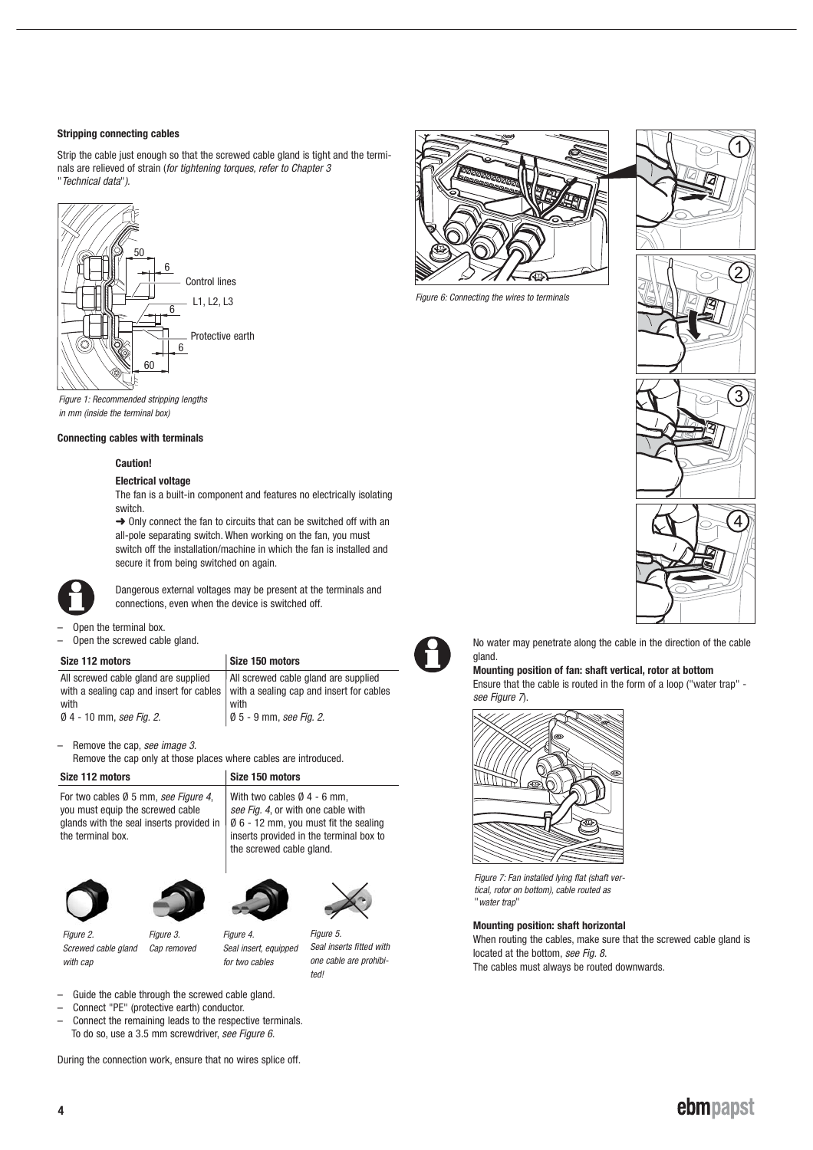# **Stripping connecting cables**

Strip the cable just enough so that the screwed cable gland is tight and the terminals are relieved of strain (for tightening torques, refer to Chapter 3 "Technical data").



Figure 1: Recommended stripping lengths in mm (inside the terminal box)

# **Connecting cables with terminals**

#### **Caution!**

#### **Electrical voltage**

The fan is a built-in component and features no electrically isolating switch.

 $\rightarrow$  Only connect the fan to circuits that can be switched off with an all-pole separating switch. When working on the fan, you must switch off the installation/machine in which the fan is installed and secure it from being switched on again.



Dangerous external voltages may be present at the terminals and connections, even when the device is switched off.

Open the terminal box.

Open the screwed cable gland.

# **Size 112 motors Size 150 motors**

| UKU TIL IIIUWIJ                      | <b>UILU TUU IIIUWIJ</b>                                                             |
|--------------------------------------|-------------------------------------------------------------------------------------|
| All screwed cable gland are supplied | All screwed cable gland are supplied                                                |
|                                      | with a sealing cap and insert for cables   with a sealing cap and insert for cables |
| with                                 | with                                                                                |
| Ø 4 - 10 mm, see Fig. 2.             | $\emptyset$ 5 - 9 mm, see Fig. 2.                                                   |

Remove the cap, see image 3. Remove the cap only at those places where cables are introduced.

| Size 112 motors                                                                                                                                                                             | Size 150 motors                                                                                                                                    |  |  |
|---------------------------------------------------------------------------------------------------------------------------------------------------------------------------------------------|----------------------------------------------------------------------------------------------------------------------------------------------------|--|--|
| For two cables Ø 5 mm, see Figure 4,<br>you must equip the screwed cable<br>glands with the seal inserts provided in $  \emptyset 6 - 12$ mm, you must fit the sealing<br>the terminal box. | With two cables $\emptyset$ 4 - 6 mm,<br>see Fig. 4, or with one cable with<br>inserts provided in the terminal box to<br>the screwed cable gland. |  |  |





Figure 3.



Figure 2. Screwed cable gland with cap

Cap removed Figure 4.

Seal insert, equipped for two cables Seal inserts fitted with one cable are prohibited!

Figure 5.



- Guide the cable through the screwed cable gland.
- Connect "PE" (protective earth) conductor.
- Connect the remaining leads to the respective terminals. To do so, use a 3.5 mm screwdriver, see Figure 6.

During the connection work, ensure that no wires splice off.



Figure 6: Connecting the wires to terminals





No water may penetrate along the cable in the direction of the cable gland.

# **Mounting position of fan: shaft vertical, rotor at bottom**

Ensure that the cable is routed in the form of a loop ("water trap" see Figure 7.



Figure 7: Fan installed lying flat (shaft vertical, rotor on bottom), cable routed as "water trap"

#### **Mounting position: shaft horizontal**

When routing the cables, make sure that the screwed cable gland is located at the bottom, see Fig. 8. The cables must always be routed downwards.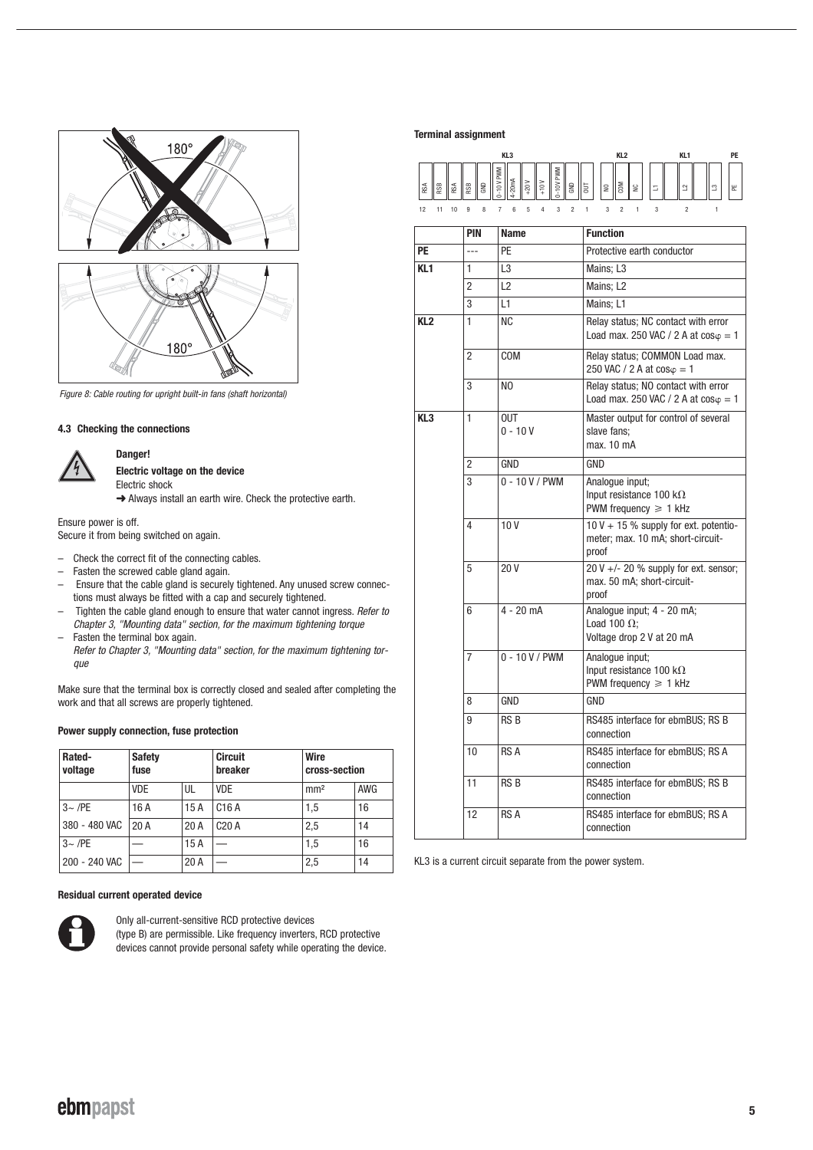

Figure 8: Cable routing for upright built-in fans (shaft horizontal)

## **4.3 Checking the connections**

**Danger!**



**Electric voltage on the device** Electric shock

→ Always install an earth wire. Check the protective earth.

Ensure power is off. Secure it from being switched on again.

- Check the correct fit of the connecting cables.
- Fasten the screwed cable gland again.
- Ensure that the cable gland is securely tightened. Any unused screw connections must always be fitted with a cap and securely tightened.
- Tighten the cable gland enough to ensure that water cannot ingress. Refer to Chapter 3, "Mounting data" section, for the maximum tightening torque
- Fasten the terminal box again.

Refer to Chapter 3, "Mounting data" section, for the maximum tightening torque

Make sure that the terminal box is correctly closed and sealed after completing the work and that all screws are properly tightened.

## **Power supply connection, fuse protection**

| Rated-<br>voltage | <b>Safety</b><br>fuse |      | <b>Circuit</b><br>breaker | Wire<br>cross-section |            |
|-------------------|-----------------------|------|---------------------------|-----------------------|------------|
|                   | <b>VDE</b>            | UL   | <b>VDE</b>                | mm <sup>2</sup>       | <b>AWG</b> |
| $3 -$ /PE         | 16 A                  | 15A  | C <sub>16</sub> A         | 1.5                   | 16         |
| 380 - 480 VAC     | 20A                   | 20A  | C20A                      | 2.5                   | 14         |
| $3 \sim$ /PE      |                       | 15A  |                           | 1.5                   | 16         |
| 200 - 240 VAC     |                       | 20 A |                           | 2,5                   | 14         |

## **Residual current operated device**



Only all-current-sensitive RCD protective devices (type B) are permissible. Like frequency inverters, RCD protective devices cannot provide personal safety while operating the device.

# **Terminal assignment**



|                 | <b>PIN</b>     | <b>Name</b>             | <b>Function</b>                                                                       |  |
|-----------------|----------------|-------------------------|---------------------------------------------------------------------------------------|--|
| РE              | $\sim$         | PF                      | Protective earth conductor                                                            |  |
| KL1             | 1              | L3                      | Mains; L3                                                                             |  |
|                 | $\overline{2}$ | L2                      | Mains: L2                                                                             |  |
|                 | 3              | L1                      | Mains: L1                                                                             |  |
| KL <sub>2</sub> | 1              | NC.                     | Relay status; NC contact with error<br>Load max. 250 VAC / 2 A at $cos\varphi = 1$    |  |
|                 | 2              | COM                     | Relay status; COMMON Load max.<br>250 VAC / 2 A at $cos\varphi = 1$                   |  |
|                 | 3              | NO.                     | Relay status; NO contact with error<br>Load max. 250 VAC / 2 A at $cos\varphi = 1$    |  |
| KL3             | 1              | <b>OUT</b><br>$0 - 10V$ | Master output for control of several<br>slave fans:<br>max. 10 mA                     |  |
|                 | $\overline{2}$ | GND                     | GND                                                                                   |  |
|                 | 3              | $0 - 10 V / PWM$        | Analoque input;<br>Input resistance 100 k $\Omega$<br>PWM frequency $\geq 1$ kHz      |  |
|                 | 4              | 10V                     | $10 V + 15 %$ supply for ext. potentio-<br>meter; max. 10 mA; short-circuit-<br>proof |  |
|                 | 5              | 20 V                    | 20 V +/- 20 % supply for ext. sensor;<br>max. 50 mA; short-circuit-<br>proof          |  |
|                 | 6              | $4 - 20$ mA             | Analogue input; 4 - 20 mA;<br>Load 100 $\Omega$ ;<br>Voltage drop 2 V at 20 mA        |  |
|                 | 7              | $0 - 10 V / PWM$        | Analoque input;<br>Input resistance 100 k $\Omega$<br>PWM frequency $\geq 1$ kHz      |  |
|                 | 8              | GND                     | GND                                                                                   |  |
|                 | 9              | RS <sub>B</sub>         | RS485 interface for ebmBUS; RS B<br>connection                                        |  |
|                 | 10             | RS A                    | RS485 interface for ebmBUS; RS A<br>connection                                        |  |
|                 | 11             | RS B                    | RS485 interface for ebmBUS; RS B<br>connection                                        |  |
|                 | 12             | RS A                    | RS485 interface for ebmBUS; RS A<br>connection                                        |  |
|                 |                |                         |                                                                                       |  |

KL3 is a current circuit separate from the power system.